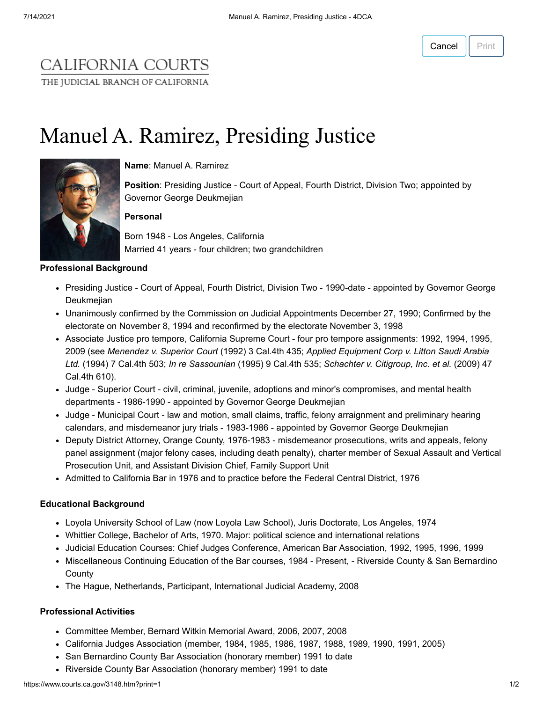## CALIFORNIA COURTS THE JUDICIAL BRANCH OF CALIFORNIA

# Manuel A. Ramirez, Presiding Justice



**Name**: Manuel A. Ramirez

**Position**: Presiding Justice - Court of Appeal, Fourth District, Division Two; appointed by Governor George Deukmejian

#### **Personal**

Born 1948 - Los Angeles, California Married 41 years - four children; two grandchildren

#### **Professional Background**

- Presiding Justice Court of Appeal, Fourth District, Division Two 1990-date appointed by Governor George Deukmejian
- Unanimously confirmed by the Commission on Judicial Appointments December 27, 1990; Confirmed by the electorate on November 8, 1994 and reconfirmed by the electorate November 3, 1998
- Associate Justice pro tempore, California Supreme Court four pro tempore assignments: 1992, 1994, 1995, 2009 (see *Menendez v. Superior Court* (1992) 3 Cal.4th 435; *Applied Equipment Corp v. Litton Saudi Arabia Ltd.* (1994) 7 Cal.4th 503; *In re Sassounian* (1995) 9 Cal.4th 535; *Schachter v. Citigroup, Inc. et al.* (2009) 47 Cal.4th 610).
- Judge Superior Court civil, criminal, juvenile, adoptions and minor's compromises, and mental health departments - 1986-1990 - appointed by Governor George Deukmejian
- Judge Municipal Court law and motion, small claims, traffic, felony arraignment and preliminary hearing calendars, and misdemeanor jury trials - 1983-1986 - appointed by Governor George Deukmejian
- Deputy District Attorney, Orange County, 1976-1983 misdemeanor prosecutions, writs and appeals, felony panel assignment (major felony cases, including death penalty), charter member of Sexual Assault and Vertical Prosecution Unit, and Assistant Division Chief, Family Support Unit
- Admitted to California Bar in 1976 and to practice before the Federal Central District, 1976

#### **Educational Background**

- Loyola University School of Law (now Loyola Law School), Juris Doctorate, Los Angeles, 1974
- Whittier College, Bachelor of Arts, 1970. Major: political science and international relations
- Judicial Education Courses: Chief Judges Conference, American Bar Association, 1992, 1995, 1996, 1999
- Miscellaneous Continuing Education of the Bar courses, 1984 Present, Riverside County & San Bernardino **County**
- The Hague, Netherlands, Participant, International Judicial Academy, 2008

#### **Professional Activities**

- Committee Member, Bernard Witkin Memorial Award, 2006, 2007, 2008
- California Judges Association (member, 1984, 1985, 1986, 1987, 1988, 1989, 1990, 1991, 2005)
- San Bernardino County Bar Association (honorary member) 1991 to date
- Riverside County Bar Association (honorary member) 1991 to date